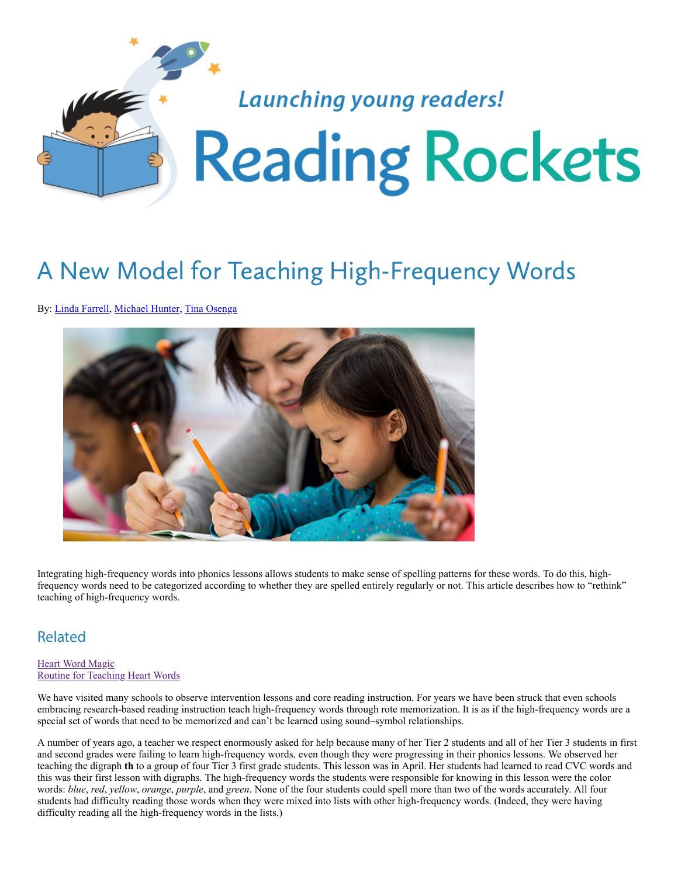

# A New Model for Teaching High-Frequency Words

By: [Linda Farrell,](https://www.readingrockets.org/articles/by-author/144334) [Michael Hunter](https://www.readingrockets.org/articles/by-author/144336), [Tina Osenga](https://www.readingrockets.org/articles/by-author/144337)



Integrating high-frequency words into phonics lessons allows students to make sense of spelling patterns for these words. To do this, highfrequency words need to be categorized according to whether they are spelled entirely regularly or not. This article describes how to "rethink" teaching of high-frequency words.

### Related

#### [Heart Word Magic](https://www.reallygreatreading.com/heart-word-magic) [Routine for Teaching Heart Words](https://www.readingrockets.org/sites/default/files/teaching-heart-words.pdf)

We have visited many schools to observe intervention lessons and core reading instruction. For years we have been struck that even schools embracing research-based reading instruction teach high-frequency words through rote memorization. It is as if the high-frequency words are a special set of words that need to be memorized and can't be learned using sound–symbol relationships.

A number of years ago, a teacher we respect enormously asked for help because many of her Tier 2 students and all of her Tier 3 students in first and second grades were failing to learn high-frequency words, even though they were progressing in their phonics lessons. We observed her teaching the digraph **th** to a group of four Tier 3 first grade students. This lesson was in April. Her students had learned to read CVC words and this was their first lesson with digraphs. The high-frequency words the students were responsible for knowing in this lesson were the color words: *blue*, *red*, *yellow*, *orange*, *purple*, and *green*. None of the four students could spell more than two of the words accurately. All four students had difficulty reading those words when they were mixed into lists with other high-frequency words. (Indeed, they were having difficulty reading all the high-frequency words in the lists.)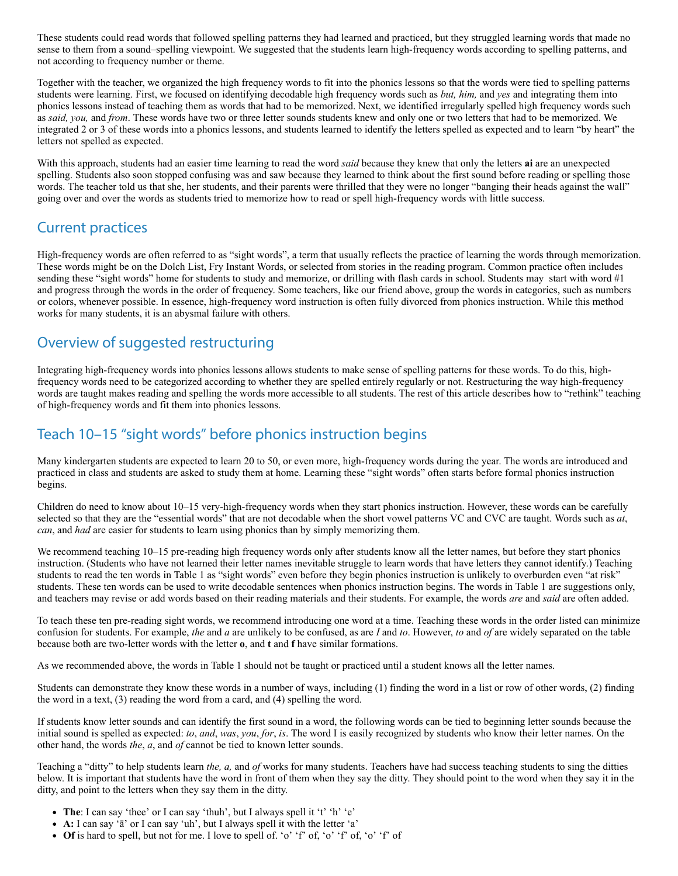These students could read words that followed spelling patterns they had learned and practiced, but they struggled learning words that made no sense to them from a sound–spelling viewpoint. We suggested that the students learn high-frequency words according to spelling patterns, and not according to frequency number or theme.

Together with the teacher, we organized the high frequency words to fit into the phonics lessons so that the words were tied to spelling patterns students were learning. First, we focused on identifying decodable high frequency words such as *but, him,* and *yes* and integrating them into phonics lessons instead of teaching them as words that had to be memorized. Next, we identified irregularly spelled high frequency words such as *said, you,* and *from*. These words have two or three letter sounds students knew and only one or two letters that had to be memorized. We integrated 2 or 3 of these words into a phonics lessons, and students learned to identify the letters spelled as expected and to learn "by heart" the letters not spelled as expected.

With this approach, students had an easier time learning to read the word *said* because they knew that only the letters **ai** are an unexpected spelling. Students also soon stopped confusing was and saw because they learned to think about the first sound before reading or spelling those words. The teacher told us that she, her students, and their parents were thrilled that they were no longer "banging their heads against the wall" going over and over the words as students tried to memorize how to read or spell high-frequency words with little success.

### Current practices

High-frequency words are often referred to as "sight words", a term that usually reflects the practice of learning the words through memorization. These words might be on the Dolch List, Fry Instant Words, or selected from stories in the reading program. Common practice often includes sending these "sight words" home for students to study and memorize, or drilling with flash cards in school. Students may start with word #1 and progress through the words in the order of frequency. Some teachers, like our friend above, group the words in categories, such as numbers or colors, whenever possible. In essence, high-frequency word instruction is often fully divorced from phonics instruction. While this method works for many students, it is an abysmal failure with others.

### Overview of suggested restructuring

Integrating high-frequency words into phonics lessons allows students to make sense of spelling patterns for these words. To do this, highfrequency words need to be categorized according to whether they are spelled entirely regularly or not. Restructuring the way high-frequency words are taught makes reading and spelling the words more accessible to all students. The rest of this article describes how to "rethink" teaching of high-frequency words and fit them into phonics lessons.

## Teach 10–15 "sight words" before phonics instruction begins

Many kindergarten students are expected to learn 20 to 50, or even more, high-frequency words during the year. The words are introduced and practiced in class and students are asked to study them at home. Learning these "sight words" often starts before formal phonics instruction begins.

Children do need to know about 10–15 very-high-frequency words when they start phonics instruction. However, these words can be carefully selected so that they are the "essential words" that are not decodable when the short vowel patterns VC and CVC are taught. Words such as *at*, *can*, and *had* are easier for students to learn using phonics than by simply memorizing them.

We recommend teaching 10–15 pre-reading high frequency words only after students know all the letter names, but before they start phonics instruction. (Students who have not learned their letter names inevitable struggle to learn words that have letters they cannot identify.) Teaching students to read the ten words in Table 1 as "sight words" even before they begin phonics instruction is unlikely to overburden even "at risk" students. These ten words can be used to write decodable sentences when phonics instruction begins. The words in Table 1 are suggestions only, and teachers may revise or add words based on their reading materials and their students. For example, the words *are* and *said* are often added.

To teach these ten pre-reading sight words, we recommend introducing one word at a time. Teaching these words in the order listed can minimize confusion for students. For example, *the* and *a* are unlikely to be confused, as are *I* and *to*. However, *to* and *of* are widely separated on the table because both are two-letter words with the letter **o**, and **t** and **f** have similar formations.

As we recommended above, the words in Table 1 should not be taught or practiced until a student knows all the letter names.

Students can demonstrate they know these words in a number of ways, including (1) finding the word in a list or row of other words, (2) finding the word in a text, (3) reading the word from a card, and (4) spelling the word.

If students know letter sounds and can identify the first sound in a word, the following words can be tied to beginning letter sounds because the initial sound is spelled as expected: *to*, *and*, *was*, *you*, *for*, *is*. The word I is easily recognized by students who know their letter names. On the other hand, the words *the*, *a*, and *of* cannot be tied to known letter sounds.

Teaching a "ditty" to help students learn *the, a,* and *of* works for many students. Teachers have had success teaching students to sing the ditties below. It is important that students have the word in front of them when they say the ditty. They should point to the word when they say it in the ditty, and point to the letters when they say them in the ditty.

- **The**: I can say 'thee' or I can say 'thuh', but I always spell it 't' 'h' 'e'
- **A:** I can say 'ā' or I can say 'uh', but I always spell it with the letter 'a'
- **Of** is hard to spell, but not for me. I love to spell of. 'o' 'f' of, 'o' 'f' of, 'o' 'f' of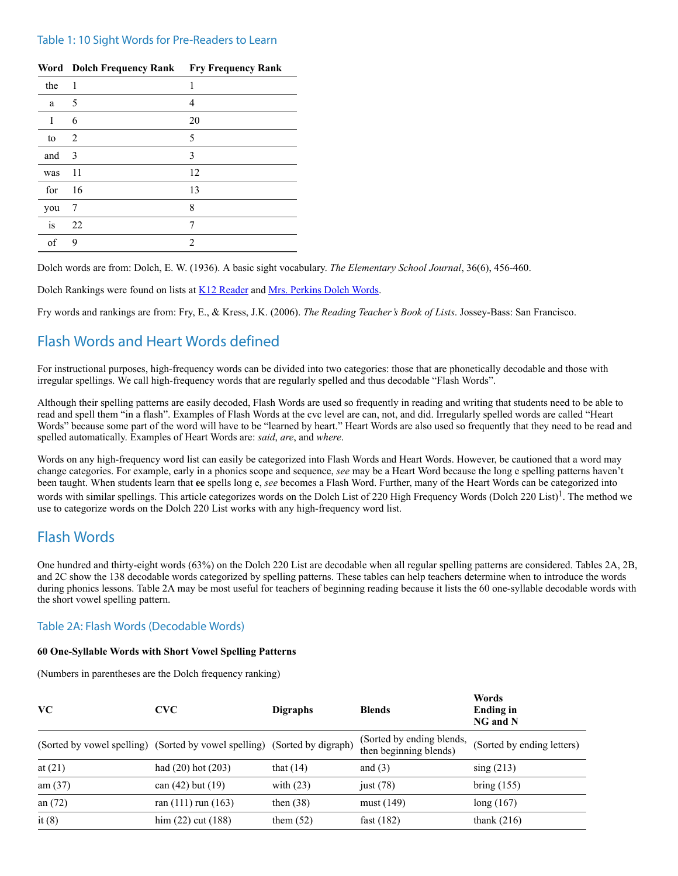#### Table 1: 10 Sight Words for Pre-Readers to Learn

|     | Word Dolch Frequency Rank Fry Frequency Rank |    |
|-----|----------------------------------------------|----|
| the | 1                                            | 1  |
| a   | 5                                            | 4  |
| I   | 6                                            | 20 |
| to  | 2                                            | 5  |
| and | 3                                            | 3  |
| was | 11                                           | 12 |
| for | 16                                           | 13 |
| you | 7                                            | 8  |
| is  | 22                                           | 7  |
| of  | 9                                            | 2  |

Dolch words are from: Dolch, E. W. (1936). A basic sight vocabulary. *The Elementary School Journal*, 36(6), 456-460.

Dolch Rankings were found on lists at [K12 Reader](https://www.k12reader.com/) and [Mrs. Perkins Dolch Words](https://mrsperkins.com/).

Fry words and rankings are from: Fry, E., & Kress, J.K. (2006). *The Reading Teacher's Book of Lists*. Jossey-Bass: San Francisco.

### Flash Words and Heart Words defined

For instructional purposes, high-frequency words can be divided into two categories: those that are phonetically decodable and those with irregular spellings. We call high-frequency words that are regularly spelled and thus decodable "Flash Words".

Although their spelling patterns are easily decoded, Flash Words are used so frequently in reading and writing that students need to be able to read and spell them "in a flash". Examples of Flash Words at the cvc level are can, not, and did. Irregularly spelled words are called "Heart Words" because some part of the word will have to be "learned by heart." Heart Words are also used so frequently that they need to be read and spelled automatically. Examples of Heart Words are: *said*, *are*, and *where*.

Words on any high-frequency word list can easily be categorized into Flash Words and Heart Words. However, be cautioned that a word may change categories. For example, early in a phonics scope and sequence, *see* may be a Heart Word because the long e spelling patterns haven't been taught. When students learn that **ee** spells long e, *see* becomes a Flash Word. Further, many of the Heart Words can be categorized into words with similar spellings. This article categorizes words on the Dolch List of 220 High Frequency Words (Dolch 220 List)<sup>1</sup>. The method we use to categorize words on the Dolch 220 List works with any high-frequency word list.

### Flash Words

One hundred and thirty-eight words (63%) on the Dolch 220 List are decodable when all regular spelling patterns are considered. Tables 2A, 2B, and 2C show the 138 decodable words categorized by spelling patterns. These tables can help teachers determine when to introduce the words during phonics lessons. Table 2A may be most useful for teachers of beginning reading because it lists the 60 one-syllable decodable words with the short vowel spelling pattern.

#### Table 2A: Flash Words (Decodable Words)

#### **60 One-Syllable Words with Short Vowel Spelling Patterns**

(Numbers in parentheses are the Dolch frequency ranking)

| <b>VC</b>                                                                 | <b>CVC</b>              | <b>Digraphs</b> | <b>Blends</b>                                       | Words<br><b>Ending in</b><br>NG and N |
|---------------------------------------------------------------------------|-------------------------|-----------------|-----------------------------------------------------|---------------------------------------|
| (Sorted by vowel spelling) (Sorted by vowel spelling) (Sorted by digraph) |                         |                 | (Sorted by ending blends,<br>then beginning blends) | (Sorted by ending letters)            |
| at $(21)$                                                                 | had $(20)$ hot $(203)$  | that $(14)$     | and $(3)$                                           | $\sin g(213)$                         |
| am $(37)$                                                                 | can $(42)$ but $(19)$   | with $(23)$     | just $(78)$                                         | bring (155)                           |
| an $(72)$                                                                 | ran $(111)$ run $(163)$ | then $(38)$     | must (149)                                          | long(167)                             |
| it $(8)$                                                                  | $\lim (22)$ cut $(188)$ | them $(52)$     | fast $(182)$                                        | thank $(216)$                         |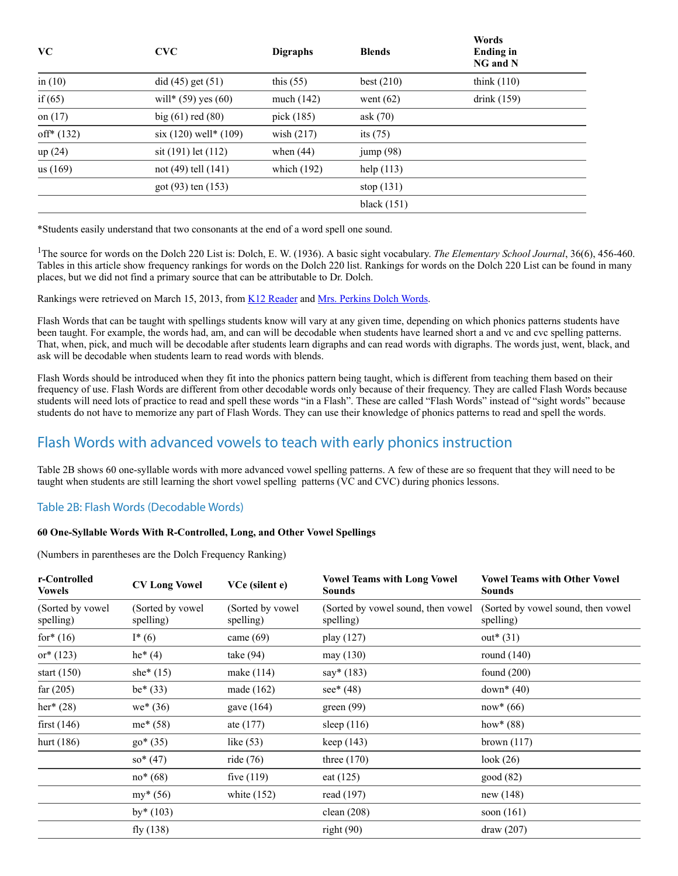| <b>VC</b>   | <b>CVC</b>              | <b>Digraphs</b> | <b>Blends</b> | woras<br>Ending in<br>NG and N |  |
|-------------|-------------------------|-----------------|---------------|--------------------------------|--|
| in $(10)$   | did (45) get (51)       | this $(55)$     | best $(210)$  | think $(110)$                  |  |
| if $(65)$   | will* $(59)$ yes $(60)$ | much $(142)$    | went $(62)$   | drink $(159)$                  |  |
| on $(17)$   | big $(61)$ red $(80)$   | pick (185)      | ask $(70)$    |                                |  |
| $off*(132)$ | $six(120) well*(109)$   | wish $(217)$    | its $(75)$    |                                |  |
| up(24)      | sit (191) let (112)     | when $(44)$     | jump(98)      |                                |  |
| us(169)     | not (49) tell (141)     | which $(192)$   | help $(113)$  |                                |  |
|             | got (93) ten (153)      |                 | stop $(131)$  |                                |  |
|             |                         |                 | black $(151)$ |                                |  |

**Words**

\*Students easily understand that two consonants at the end of a word spell one sound.

<sup>1</sup>The source for words on the Dolch 220 List is: Dolch, E. W. (1936). A basic sight vocabulary. *The Elementary School Journal*, 36(6), 456-460. Tables in this article show frequency rankings for words on the Dolch 220 list. Rankings for words on the Dolch 220 List can be found in many places, but we did not find a primary source that can be attributable to Dr. Dolch.

Rankings were retrieved on March 15, 2013, from [K12 Reader](https://www.k12reader.com/) and [Mrs. Perkins Dolch Words](https://mrsperkins.com/).

Flash Words that can be taught with spellings students know will vary at any given time, depending on which phonics patterns students have been taught. For example, the words had, am, and can will be decodable when students have learned short a and vc and cvc spelling patterns. That, when, pick, and much will be decodable after students learn digraphs and can read words with digraphs. The words just, went, black, and ask will be decodable when students learn to read words with blends.

Flash Words should be introduced when they fit into the phonics pattern being taught, which is different from teaching them based on their frequency of use. Flash Words are different from other decodable words only because of their frequency. They are called Flash Words because students will need lots of practice to read and spell these words "in a Flash". These are called "Flash Words" instead of "sight words" because students do not have to memorize any part of Flash Words. They can use their knowledge of phonics patterns to read and spell the words.

### Flash Words with advanced vowels to teach with early phonics instruction

Table 2B shows 60 one-syllable words with more advanced vowel spelling patterns. A few of these are so frequent that they will need to be taught when students are still learning the short vowel spelling patterns (VC and CVC) during phonics lessons.

#### Table 2B: Flash Words (Decodable Words)

#### **60 One-Syllable Words With R‐Controlled, Long, and Other Vowel Spellings**

(Numbers in parentheses are the Dolch Frequency Ranking)

| <b>CV Long Vowel</b>           | VCe (silent e)                 | <b>Vowel Teams with Long Vowel</b><br>Sounds     | <b>Vowel Teams with Other Vowel</b><br><b>Sounds</b> |
|--------------------------------|--------------------------------|--------------------------------------------------|------------------------------------------------------|
| (Sorted by vowel)<br>spelling) | (Sorted by vowel)<br>spelling) | (Sorted by vowel sound, then vowel)<br>spelling) | (Sorted by vowel sound, then vowel)<br>spelling)     |
| $I^*(6)$                       | came $(69)$                    | play (127)                                       | $out*(31)$                                           |
| $he^{*}(4)$                    | take $(94)$                    | may (130)                                        | round $(140)$                                        |
| she $*(15)$                    | make (114)                     | $say*(183)$                                      | found $(200)$                                        |
| $be*(33)$                      | made $(162)$                   | $see* (48)$                                      | down <sup>*</sup> $(40)$                             |
| $we^*(36)$                     | gave $(164)$                   | green(99)                                        | $now*(66)$                                           |
| $me^*(58)$                     | ate $(177)$                    | sleep $(116)$                                    | how <sup>*</sup> $(88)$                              |
| $go*(35)$                      | like $(53)$                    | keep $(143)$                                     | brown $(117)$                                        |
| $so^*(47)$                     | ride $(76)$                    | three $(170)$                                    | look $(26)$                                          |
| $no*(68)$                      | five $(119)$                   | eat $(125)$                                      | good(82)                                             |
| $my* (56)$                     | white $(152)$                  | read (197)                                       | new(148)                                             |
| $by*(103)$                     |                                | clean $(208)$                                    | soon $(161)$                                         |
| fly $(138)$                    |                                | right(90)                                        | draw (207)                                           |
|                                |                                |                                                  |                                                      |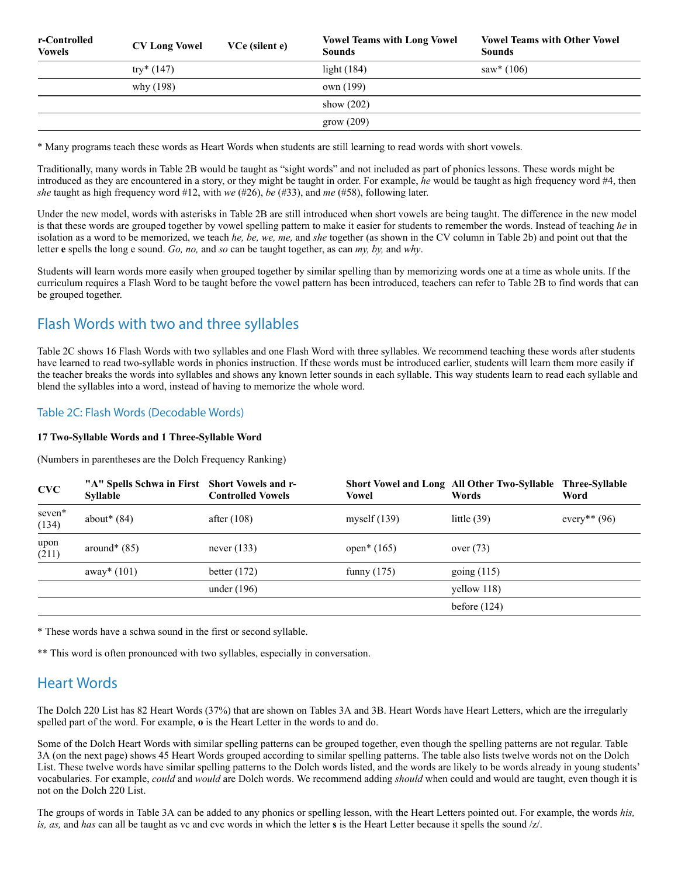| r-Controlled<br>Vowels | <b>CV Long Vowel</b> | VCe (silent e) | <b>Vowel Teams with Long Vowel</b><br><b>Sounds</b> | <b>Vowel Teams with Other Vowel</b><br><b>Sounds</b> |
|------------------------|----------------------|----------------|-----------------------------------------------------|------------------------------------------------------|
|                        | try* $(147)$         |                | light $(184)$                                       | $saw*$ (106)                                         |
|                        | why (198)            |                | own (199)                                           |                                                      |
|                        |                      |                | show $(202)$                                        |                                                      |
|                        |                      |                | grow(209)                                           |                                                      |

\* Many programs teach these words as Heart Words when students are still learning to read words with short vowels.

Traditionally, many words in Table 2B would be taught as "sight words" and not included as part of phonics lessons. These words might be introduced as they are encountered in a story, or they might be taught in order. For example, *he* would be taught as high frequency word #4, then *she* taught as high frequency word #12, with *we* (#26), *be* (#33), and *me* (#58), following later.

Under the new model, words with asterisks in Table 2B are still introduced when short vowels are being taught. The difference in the new model is that these words are grouped together by vowel spelling pattern to make it easier for students to remember the words. Instead of teaching *he* in isolation as a word to be memorized, we teach *he, be, we, me,* and *she* together (as shown in the CV column in Table 2b) and point out that the letter **e** spells the long e sound. *Go, no,* and *so* can be taught together, as can *my, by,* and *why*.

Students will learn words more easily when grouped together by similar spelling than by memorizing words one at a time as whole units. If the curriculum requires a Flash Word to be taught before the vowel pattern has been introduced, teachers can refer to Table 2B to find words that can be grouped together.

### Flash Words with two and three syllables

Table 2C shows 16 Flash Words with two syllables and one Flash Word with three syllables. We recommend teaching these words after students have learned to read two-syllable words in phonics instruction. If these words must be introduced earlier, students will learn them more easily if the teacher breaks the words into syllables and shows any known letter sounds in each syllable. This way students learn to read each syllable and blend the syllables into a word, instead of having to memorize the whole word.

#### Table 2C: Flash Words (Decodable Words)

#### **17 Two-Syllable Words and 1 Three-Syllable Word**

(Numbers in parentheses are the Dolch Frequency Ranking)

| <b>CVC</b>      | "A" Spells Schwa in First Short Vowels and r-<br><b>Syllable</b> | <b>Controlled Vowels</b> | Vowel                     | Short Vowel and Long All Other Two-Syllable Three-Syllable<br>Words | Word           |
|-----------------|------------------------------------------------------------------|--------------------------|---------------------------|---------------------------------------------------------------------|----------------|
| seven*<br>(134) | about $*(84)$                                                    | after $(108)$            | myself $(139)$            | little $(39)$                                                       | every** $(96)$ |
| upon<br>(211)   | around* $(85)$                                                   | never $(133)$            | open <sup>*</sup> $(165)$ | over $(73)$                                                         |                |
|                 | away* $(101)$                                                    | better $(172)$           | funny $(175)$             | going (115)                                                         |                |
|                 |                                                                  | under $(196)$            |                           | yellow $118$ )                                                      |                |
|                 |                                                                  |                          |                           | before $(124)$                                                      |                |

\* These words have a schwa sound in the first or second syllable.

\*\* This word is often pronounced with two syllables, especially in conversation.

### Heart Words

The Dolch 220 List has 82 Heart Words (37%) that are shown on Tables 3A and 3B. Heart Words have Heart Letters, which are the irregularly spelled part of the word. For example, **o** is the Heart Letter in the words to and do.

Some of the Dolch Heart Words with similar spelling patterns can be grouped together, even though the spelling patterns are not regular. Table 3A (on the next page) shows 45 Heart Words grouped according to similar spelling patterns. The table also lists twelve words not on the Dolch List. These twelve words have similar spelling patterns to the Dolch words listed, and the words are likely to be words already in young students' vocabularies. For example, *could* and *would* are Dolch words. We recommend adding *should* when could and would are taught, even though it is not on the Dolch 220 List.

The groups of words in Table 3A can be added to any phonics or spelling lesson, with the Heart Letters pointed out. For example, the words *his, is, as,* and *has* can all be taught as vc and cvc words in which the letter **s** is the Heart Letter because it spells the sound /z/.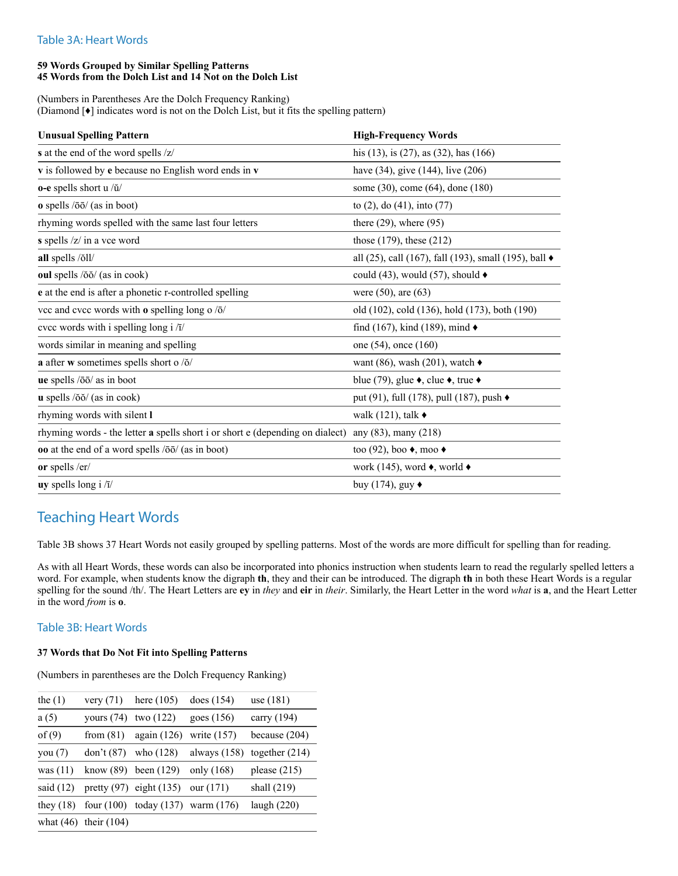#### Table 3A: Heart Words

#### **59 Words Grouped by Similar Spelling Patterns 45 Words from the Dolch List and 14 Not on the Dolch List**

(Numbers in Parentheses Are the Dolch Frequency Ranking) (Diamond [♦] indicates word is not on the Dolch List, but it fits the spelling pattern)

| <b>Unusual Spelling Pattern</b>                                                                    | <b>High-Frequency Words</b>                                   |
|----------------------------------------------------------------------------------------------------|---------------------------------------------------------------|
| s at the end of the word spells /z/                                                                | his $(13)$ , is $(27)$ , as $(32)$ , has $(166)$              |
| v is followed by e because no English word ends in v                                               | have (34), give (144), live (206)                             |
| o-e spells short u /ŭ/                                                                             | some (30), come (64), done (180)                              |
| $\alpha$ spells $\sqrt{50}$ (as in boot)                                                           | to $(2)$ , do $(41)$ , into $(77)$                            |
| rhyming words spelled with the same last four letters                                              | there $(29)$ , where $(95)$                                   |
| s spells /z/ in a vce word                                                                         | those $(179)$ , these $(212)$                                 |
| all spells /oঁll/                                                                                  | all (25), call (167), fall (193), small (195), ball $\bullet$ |
| oul spells /ŏŏ/ (as in cook)                                                                       | could (43), would (57), should $\blacklozenge$                |
| e at the end is after a phonetic r-controlled spelling                                             | were $(50)$ , are $(63)$                                      |
| vcc and cvcc words with $\bf{o}$ spelling long o / $\bf{\bar{o}}$ /                                | old (102), cold (136), hold (173), both (190)                 |
| evec words with i spelling long i /i/                                                              | find (167), kind (189), mind $\blacklozenge$                  |
| words similar in meaning and spelling                                                              | one $(54)$ , once $(160)$                                     |
| a after w sometimes spells short o /ŏ/                                                             | want (86), wash (201), watch $\triangleleft$                  |
| ue spells /ōō/ as in boot                                                                          | blue (79), glue $\bullet$ , clue $\bullet$ , true $\bullet$   |
| $\bf{u}$ spells / $\delta \delta$ / (as in cook)                                                   | put (91), full (178), pull (187), push $\bullet$              |
| rhyming words with silent I                                                                        | walk (121), talk $\bullet$                                    |
| rhyming words - the letter a spells short i or short e (depending on dialect) any (83), many (218) |                                                               |
| <b>oo</b> at the end of a word spells $\overline{100}$ (as in boot)                                | too (92), boo $\bullet$ , moo $\bullet$                       |
| or spells /er/                                                                                     | work (145), word $\bullet$ , world $\bullet$                  |
| uy spells long i $/\bar{i}/$                                                                       | buy (174), guy                                                |

### Teaching Heart Words

Table 3B shows 37 Heart Words not easily grouped by spelling patterns. Most of the words are more difficult for spelling than for reading.

As with all Heart Words, these words can also be incorporated into phonics instruction when students learn to read the regularly spelled letters a word. For example, when students know the digraph **th**, they and their can be introduced. The digraph **th** in both these Heart Words is a regular spelling for the sound /th/. The Heart Letters are **ey** in *they* and **eir** in *their*. Similarly, the Heart Letter in the word *what* is **a**, and the Heart Letter in the word *from* is **o**.

#### Table 3B: Heart Words

#### **37 Words that Do Not Fit into Spelling Patterns**

(Numbers in parentheses are the Dolch Frequency Ranking)

| the $(1)$   | very $(71)$               | here $(105)$                            | does $(154)$   | use $(181)$      |
|-------------|---------------------------|-----------------------------------------|----------------|------------------|
| a(5)        | yours $(74)$              | two $(122)$                             | goes $(156)$   | carry (194)      |
| of $(9)$    | from $(81)$               | again $(126)$                           | write $(157)$  | because $(204)$  |
| you $(7)$   | don't(87)                 | who (128)                               | always $(158)$ | together $(214)$ |
| was $(11)$  | know (89)                 | been $(129)$                            | only (168)     | please $(215)$   |
| said $(12)$ |                           | pretty $(97)$ eight $(135)$             | our (171)      | shall $(219)$    |
| they $(18)$ |                           | four $(100)$ today $(137)$ warm $(176)$ |                | laugh $(220)$    |
|             | what $(46)$ their $(104)$ |                                         |                |                  |